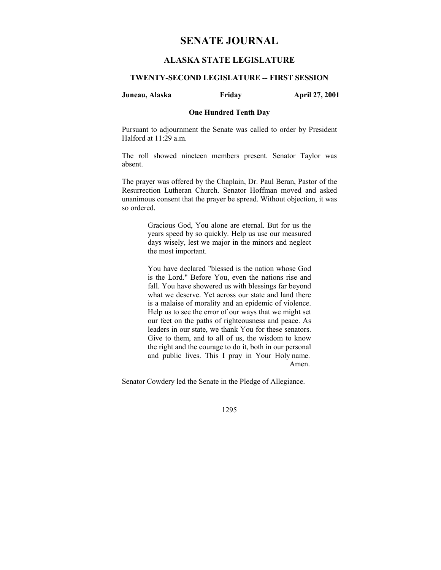# **SENATE JOURNAL**

# **ALASKA STATE LEGISLATURE**

# **TWENTY-SECOND LEGISLATURE -- FIRST SESSION**

# **Juneau, Alaska Friday April 27, 2001**

# **One Hundred Tenth Day**

Pursuant to adjournment the Senate was called to order by President Halford at 11:29 a.m.

The roll showed nineteen members present. Senator Taylor was absent.

The prayer was offered by the Chaplain, Dr. Paul Beran, Pastor of the Resurrection Lutheran Church. Senator Hoffman moved and asked unanimous consent that the prayer be spread. Without objection, it was so ordered.

> Gracious God, You alone are eternal. But for us the years speed by so quickly. Help us use our measured days wisely, lest we major in the minors and neglect the most important.

> You have declared "blessed is the nation whose God is the Lord." Before You, even the nations rise and fall. You have showered us with blessings far beyond what we deserve. Yet across our state and land there is a malaise of morality and an epidemic of violence. Help us to see the error of our ways that we might set our feet on the paths of righteousness and peace. As leaders in our state, we thank You for these senators. Give to them, and to all of us, the wisdom to know the right and the courage to do it, both in our personal and public lives. This I pray in Your Holy name. Amen.

Senator Cowdery led the Senate in the Pledge of Allegiance.

1295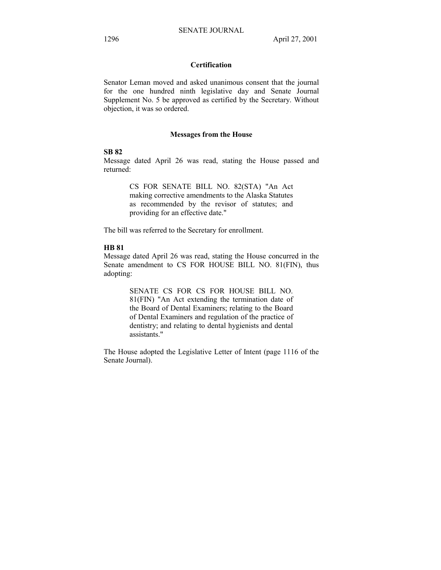# **Certification**

Senator Leman moved and asked unanimous consent that the journal for the one hundred ninth legislative day and Senate Journal Supplement No. 5 be approved as certified by the Secretary. Without objection, it was so ordered.

## **Messages from the House**

### **SB 82**

Message dated April 26 was read, stating the House passed and returned:

> CS FOR SENATE BILL NO. 82(STA) "An Act making corrective amendments to the Alaska Statutes as recommended by the revisor of statutes; and providing for an effective date."

The bill was referred to the Secretary for enrollment.

#### **HB 81**

Message dated April 26 was read, stating the House concurred in the Senate amendment to CS FOR HOUSE BILL NO. 81(FIN), thus adopting:

> SENATE CS FOR CS FOR HOUSE BILL NO. 81(FIN) "An Act extending the termination date of the Board of Dental Examiners; relating to the Board of Dental Examiners and regulation of the practice of dentistry; and relating to dental hygienists and dental assistants."

The House adopted the Legislative Letter of Intent (page 1116 of the Senate Journal).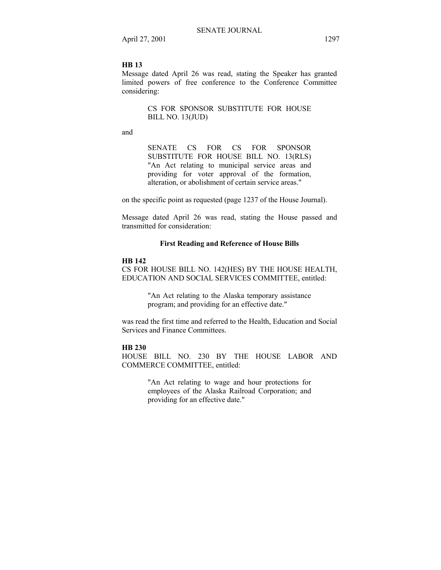# **HB 13**

Message dated April 26 was read, stating the Speaker has granted limited powers of free conference to the Conference Committee considering:

> CS FOR SPONSOR SUBSTITUTE FOR HOUSE BILL NO. 13(JUD)

and

SENATE CS FOR CS FOR SPONSOR SUBSTITUTE FOR HOUSE BILL NO. 13(RLS) "An Act relating to municipal service areas and providing for voter approval of the formation, alteration, or abolishment of certain service areas."

on the specific point as requested (page 1237 of the House Journal).

Message dated April 26 was read, stating the House passed and transmitted for consideration:

#### **First Reading and Reference of House Bills**

# **HB 142**

CS FOR HOUSE BILL NO. 142(HES) BY THE HOUSE HEALTH, EDUCATION AND SOCIAL SERVICES COMMITTEE, entitled:

> "An Act relating to the Alaska temporary assistance program; and providing for an effective date."

was read the first time and referred to the Health, Education and Social Services and Finance Committees.

#### **HB 230**

HOUSE BILL NO. 230 BY THE HOUSE LABOR AND COMMERCE COMMITTEE, entitled:

> "An Act relating to wage and hour protections for employees of the Alaska Railroad Corporation; and providing for an effective date."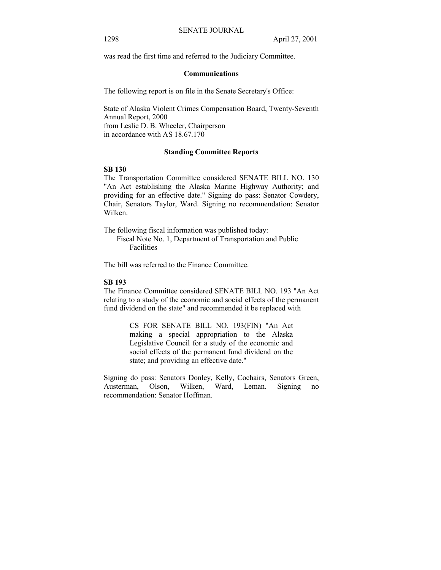was read the first time and referred to the Judiciary Committee.

#### **Communications**

The following report is on file in the Senate Secretary's Office:

State of Alaska Violent Crimes Compensation Board, Twenty-Seventh Annual Report, 2000 from Leslie D. B. Wheeler, Chairperson in accordance with AS 18.67.170

# **Standing Committee Reports**

### **SB 130**

The Transportation Committee considered SENATE BILL NO. 130 "An Act establishing the Alaska Marine Highway Authority; and providing for an effective date." Signing do pass: Senator Cowdery, Chair, Senators Taylor, Ward. Signing no recommendation: Senator Wilken.

The following fiscal information was published today: Fiscal Note No. 1, Department of Transportation and Public

**Facilities** 

The bill was referred to the Finance Committee.

# **SB 193**

The Finance Committee considered SENATE BILL NO. 193 "An Act relating to a study of the economic and social effects of the permanent fund dividend on the state" and recommended it be replaced with

> CS FOR SENATE BILL NO. 193(FIN) "An Act making a special appropriation to the Alaska Legislative Council for a study of the economic and social effects of the permanent fund dividend on the state; and providing an effective date."

Signing do pass: Senators Donley, Kelly, Cochairs, Senators Green, Austerman, Olson, Wilken, Ward, Leman. Signing no recommendation: Senator Hoffman.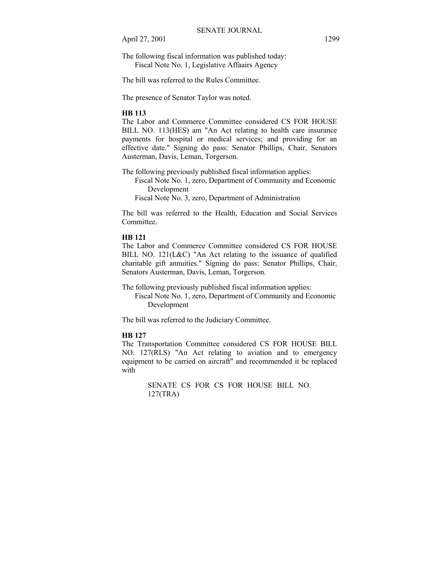The following fiscal information was published today: Fiscal Note No. 1, Legislative Affaairs Agency

The bill was referred to the Rules Committee.

The presence of Senator Taylor was noted.

#### **HB 113**

The Labor and Commerce Committee considered CS FOR HOUSE BILL NO. 113(HES) am "An Act relating to health care insurance payments for hospital or medical services; and providing for an effective date." Signing do pass: Senator Phillips, Chair, Senators Austerman, Davis, Leman, Torgerson.

The following previously published fiscal information applies:

 Fiscal Note No. 1, zero, Department of Community and Economic Development

Fiscal Note No. 3, zero, Department of Administration

The bill was referred to the Health, Education and Social Services Committee.

# **HB 121**

The Labor and Commerce Committee considered CS FOR HOUSE BILL NO. 121(L&C) "An Act relating to the issuance of qualified charitable gift annuities." Signing do pass: Senator Phillips, Chair, Senators Austerman, Davis, Leman, Torgerson.

The following previously published fiscal information applies: Fiscal Note No. 1, zero, Department of Community and Economic Development

The bill was referred to the Judiciary Committee.

# **HB 127**

The Transportation Committee considered CS FOR HOUSE BILL NO. 127(RLS) "An Act relating to aviation and to emergency equipment to be carried on aircraft" and recommended it be replaced with

> SENATE CS FOR CS FOR HOUSE BILL NO. 127(TRA)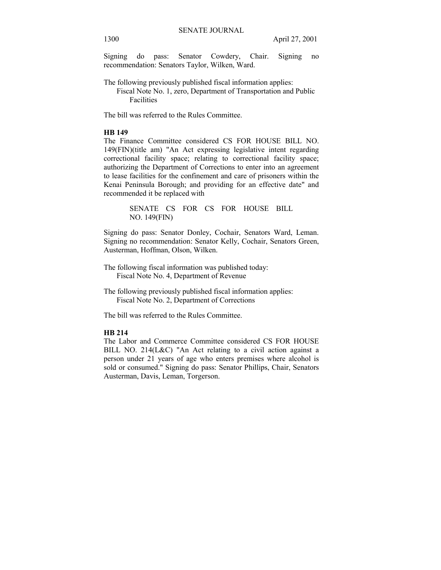Signing do pass: Senator Cowdery, Chair. Signing no recommendation: Senators Taylor, Wilken, Ward.

The following previously published fiscal information applies:

 Fiscal Note No. 1, zero, Department of Transportation and Public Facilities

The bill was referred to the Rules Committee.

#### **HB 149**

The Finance Committee considered CS FOR HOUSE BILL NO. 149(FIN)(title am) "An Act expressing legislative intent regarding correctional facility space; relating to correctional facility space; authorizing the Department of Corrections to enter into an agreement to lease facilities for the confinement and care of prisoners within the Kenai Peninsula Borough; and providing for an effective date" and recommended it be replaced with

> SENATE CS FOR CS FOR HOUSE BILL NO. 149(FIN)

Signing do pass: Senator Donley, Cochair, Senators Ward, Leman. Signing no recommendation: Senator Kelly, Cochair, Senators Green, Austerman, Hoffman, Olson, Wilken.

- The following fiscal information was published today: Fiscal Note No. 4, Department of Revenue
- The following previously published fiscal information applies: Fiscal Note No. 2, Department of Corrections

The bill was referred to the Rules Committee.

# **HB 214**

The Labor and Commerce Committee considered CS FOR HOUSE BILL NO. 214(L&C) "An Act relating to a civil action against a person under 21 years of age who enters premises where alcohol is sold or consumed." Signing do pass: Senator Phillips, Chair, Senators Austerman, Davis, Leman, Torgerson.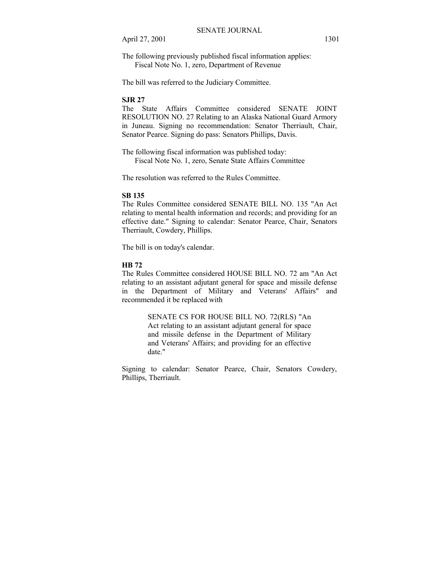The following previously published fiscal information applies: Fiscal Note No. 1, zero, Department of Revenue

The bill was referred to the Judiciary Committee.

# **SJR 27**

The State Affairs Committee considered SENATE JOINT RESOLUTION NO. 27 Relating to an Alaska National Guard Armory in Juneau. Signing no recommendation: Senator Therriault, Chair, Senator Pearce. Signing do pass: Senators Phillips, Davis.

The following fiscal information was published today: Fiscal Note No. 1, zero, Senate State Affairs Committee

The resolution was referred to the Rules Committee.

#### **SB 135**

The Rules Committee considered SENATE BILL NO. 135 "An Act relating to mental health information and records; and providing for an effective date." Signing to calendar: Senator Pearce, Chair, Senators Therriault, Cowdery, Phillips.

The bill is on today's calendar.

# **HB 72**

The Rules Committee considered HOUSE BILL NO. 72 am "An Act relating to an assistant adjutant general for space and missile defense in the Department of Military and Veterans' Affairs" and recommended it be replaced with

> SENATE CS FOR HOUSE BILL NO. 72(RLS) "An Act relating to an assistant adjutant general for space and missile defense in the Department of Military and Veterans' Affairs; and providing for an effective date."

Signing to calendar: Senator Pearce, Chair, Senators Cowdery, Phillips, Therriault.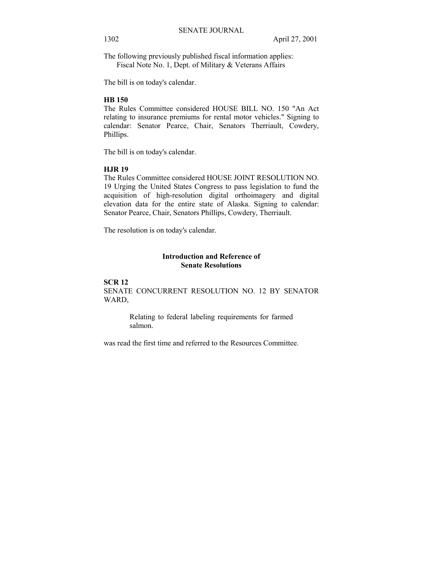The following previously published fiscal information applies: Fiscal Note No. 1, Dept. of Military & Veterans Affairs

The bill is on today's calendar.

# **HB 150**

The Rules Committee considered HOUSE BILL NO. 150 "An Act relating to insurance premiums for rental motor vehicles." Signing to calendar: Senator Pearce, Chair, Senators Therriault, Cowdery, Phillips.

The bill is on today's calendar.

#### **HJR 19**

The Rules Committee considered HOUSE JOINT RESOLUTION NO. 19 Urging the United States Congress to pass legislation to fund the acquisition of high-resolution digital orthoimagery and digital elevation data for the entire state of Alaska. Signing to calendar: Senator Pearce, Chair, Senators Phillips, Cowdery, Therriault.

The resolution is on today's calendar.

# **Introduction and Reference of Senate Resolutions**

# **SCR 12**  SENATE CONCURRENT RESOLUTION NO. 12 BY SENATOR WARD,

Relating to federal labeling requirements for farmed salmon.

was read the first time and referred to the Resources Committee.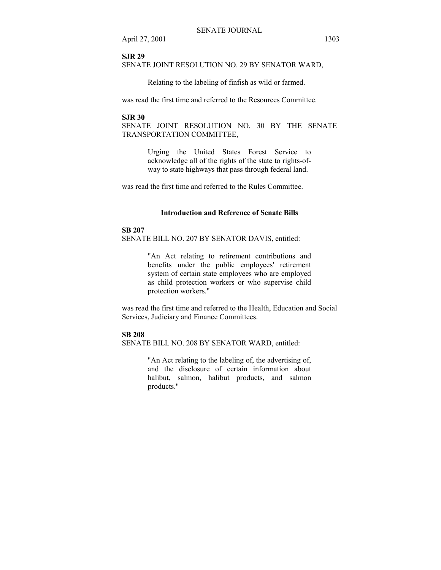#### **SJR 29**

SENATE JOINT RESOLUTION NO. 29 BY SENATOR WARD,

Relating to the labeling of finfish as wild or farmed.

was read the first time and referred to the Resources Committee.

# **SJR 30**

SENATE JOINT RESOLUTION NO. 30 BY THE SENATE TRANSPORTATION COMMITTEE,

> Urging the United States Forest Service to acknowledge all of the rights of the state to rights-ofway to state highways that pass through federal land.

was read the first time and referred to the Rules Committee.

#### **Introduction and Reference of Senate Bills**

#### **SB 207**

SENATE BILL NO. 207 BY SENATOR DAVIS, entitled:

"An Act relating to retirement contributions and benefits under the public employees' retirement system of certain state employees who are employed as child protection workers or who supervise child protection workers."

was read the first time and referred to the Health, Education and Social Services, Judiciary and Finance Committees.

# **SB 208**

SENATE BILL NO. 208 BY SENATOR WARD, entitled:

"An Act relating to the labeling of, the advertising of, and the disclosure of certain information about halibut, salmon, halibut products, and salmon products."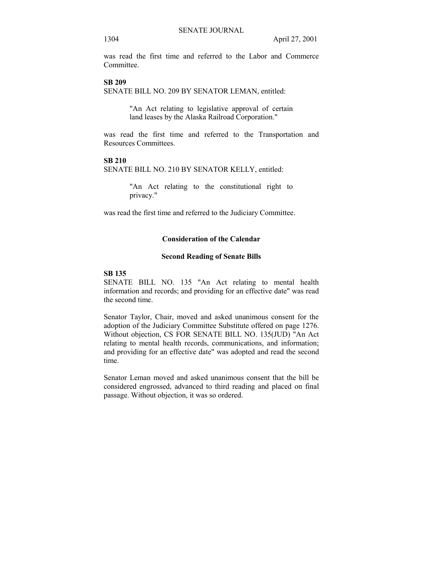was read the first time and referred to the Labor and Commerce **Committee** 

## **SB 209**

SENATE BILL NO. 209 BY SENATOR LEMAN, entitled:

"An Act relating to legislative approval of certain land leases by the Alaska Railroad Corporation."

was read the first time and referred to the Transportation and Resources Committees.

#### **SB 210**

SENATE BILL NO. 210 BY SENATOR KELLY, entitled:

"An Act relating to the constitutional right to privacy."

was read the first time and referred to the Judiciary Committee.

# **Consideration of the Calendar**

#### **Second Reading of Senate Bills**

# **SB 135**

SENATE BILL NO. 135 "An Act relating to mental health information and records; and providing for an effective date" was read the second time.

Senator Taylor, Chair, moved and asked unanimous consent for the adoption of the Judiciary Committee Substitute offered on page 1276. Without objection, CS FOR SENATE BILL NO. 135(JUD) "An Act relating to mental health records, communications, and information; and providing for an effective date" was adopted and read the second time.

Senator Leman moved and asked unanimous consent that the bill be considered engrossed, advanced to third reading and placed on final passage. Without objection, it was so ordered.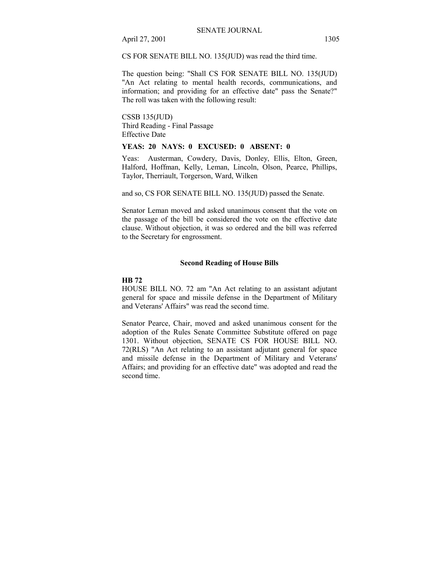CS FOR SENATE BILL NO. 135(JUD) was read the third time.

The question being: "Shall CS FOR SENATE BILL NO. 135(JUD) "An Act relating to mental health records, communications, and information; and providing for an effective date" pass the Senate?" The roll was taken with the following result:

CSSB 135(JUD) Third Reading - Final Passage Effective Date

# **YEAS: 20 NAYS: 0 EXCUSED: 0 ABSENT: 0**

Yeas: Austerman, Cowdery, Davis, Donley, Ellis, Elton, Green, Halford, Hoffman, Kelly, Leman, Lincoln, Olson, Pearce, Phillips, Taylor, Therriault, Torgerson, Ward, Wilken

and so, CS FOR SENATE BILL NO. 135(JUD) passed the Senate.

Senator Leman moved and asked unanimous consent that the vote on the passage of the bill be considered the vote on the effective date clause. Without objection, it was so ordered and the bill was referred to the Secretary for engrossment.

#### **Second Reading of House Bills**

#### **HB 72**

HOUSE BILL NO. 72 am "An Act relating to an assistant adjutant general for space and missile defense in the Department of Military and Veterans' Affairs" was read the second time.

Senator Pearce, Chair, moved and asked unanimous consent for the adoption of the Rules Senate Committee Substitute offered on page 1301. Without objection, SENATE CS FOR HOUSE BILL NO. 72(RLS) "An Act relating to an assistant adjutant general for space and missile defense in the Department of Military and Veterans' Affairs; and providing for an effective date" was adopted and read the second time.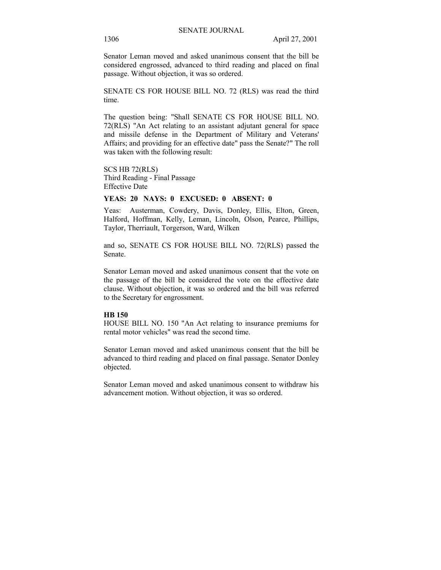Senator Leman moved and asked unanimous consent that the bill be considered engrossed, advanced to third reading and placed on final passage. Without objection, it was so ordered.

SENATE CS FOR HOUSE BILL NO. 72 (RLS) was read the third time.

The question being: "Shall SENATE CS FOR HOUSE BILL NO. 72(RLS) "An Act relating to an assistant adjutant general for space and missile defense in the Department of Military and Veterans' Affairs; and providing for an effective date" pass the Senate?" The roll was taken with the following result:

SCS HB 72(RLS) Third Reading - Final Passage Effective Date

#### **YEAS: 20 NAYS: 0 EXCUSED: 0 ABSENT: 0**

Yeas: Austerman, Cowdery, Davis, Donley, Ellis, Elton, Green, Halford, Hoffman, Kelly, Leman, Lincoln, Olson, Pearce, Phillips, Taylor, Therriault, Torgerson, Ward, Wilken

and so, SENATE CS FOR HOUSE BILL NO. 72(RLS) passed the Senate.

Senator Leman moved and asked unanimous consent that the vote on the passage of the bill be considered the vote on the effective date clause. Without objection, it was so ordered and the bill was referred to the Secretary for engrossment.

#### **HB 150**

HOUSE BILL NO. 150 "An Act relating to insurance premiums for rental motor vehicles" was read the second time.

Senator Leman moved and asked unanimous consent that the bill be advanced to third reading and placed on final passage. Senator Donley objected.

Senator Leman moved and asked unanimous consent to withdraw his advancement motion. Without objection, it was so ordered.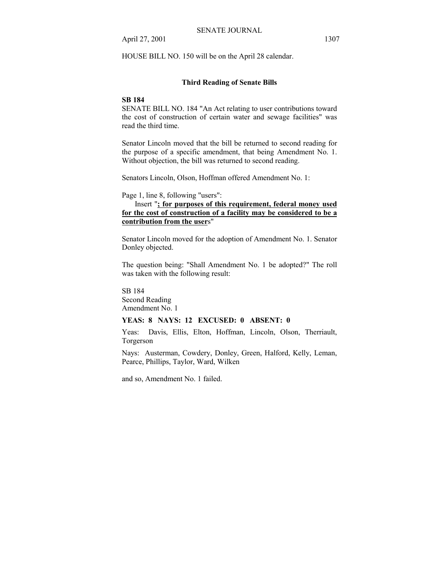HOUSE BILL NO. 150 will be on the April 28 calendar.

# **Third Reading of Senate Bills**

## **SB 184**

SENATE BILL NO. 184 "An Act relating to user contributions toward the cost of construction of certain water and sewage facilities" was read the third time.

Senator Lincoln moved that the bill be returned to second reading for the purpose of a specific amendment, that being Amendment No. 1. Without objection, the bill was returned to second reading.

Senators Lincoln, Olson, Hoffman offered Amendment No. 1:

Page 1, line 8, following "users":

 Insert "**; for purposes of this requirement, federal money used for the cost of construction of a facility may be considered to be a contribution from the user**s"

Senator Lincoln moved for the adoption of Amendment No. 1. Senator Donley objected.

The question being: "Shall Amendment No. 1 be adopted?" The roll was taken with the following result:

SB 184 Second Reading Amendment No. 1

# **YEAS: 8 NAYS: 12 EXCUSED: 0 ABSENT: 0**

Yeas: Davis, Ellis, Elton, Hoffman, Lincoln, Olson, Therriault, Torgerson

Nays: Austerman, Cowdery, Donley, Green, Halford, Kelly, Leman, Pearce, Phillips, Taylor, Ward, Wilken

and so, Amendment No. 1 failed.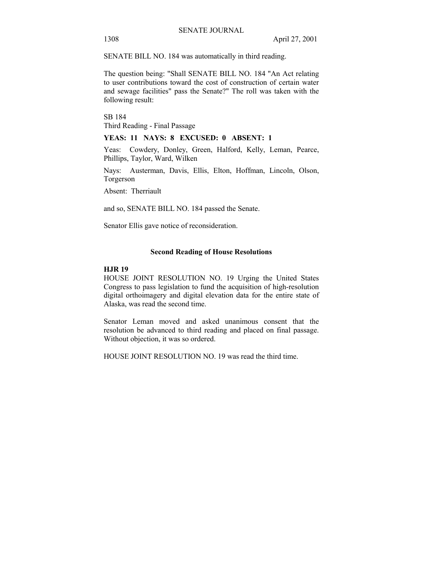SENATE BILL NO. 184 was automatically in third reading.

The question being: "Shall SENATE BILL NO. 184 "An Act relating to user contributions toward the cost of construction of certain water and sewage facilities" pass the Senate?" The roll was taken with the following result:

SB 184 Third Reading - Final Passage

#### **YEAS: 11 NAYS: 8 EXCUSED: 0 ABSENT: 1**

Yeas: Cowdery, Donley, Green, Halford, Kelly, Leman, Pearce, Phillips, Taylor, Ward, Wilken

Nays: Austerman, Davis, Ellis, Elton, Hoffman, Lincoln, Olson, Torgerson

Absent: Therriault

and so, SENATE BILL NO. 184 passed the Senate.

Senator Ellis gave notice of reconsideration.

#### **Second Reading of House Resolutions**

## **HJR 19**

HOUSE JOINT RESOLUTION NO. 19 Urging the United States Congress to pass legislation to fund the acquisition of high-resolution digital orthoimagery and digital elevation data for the entire state of Alaska, was read the second time.

Senator Leman moved and asked unanimous consent that the resolution be advanced to third reading and placed on final passage. Without objection, it was so ordered.

HOUSE JOINT RESOLUTION NO. 19 was read the third time.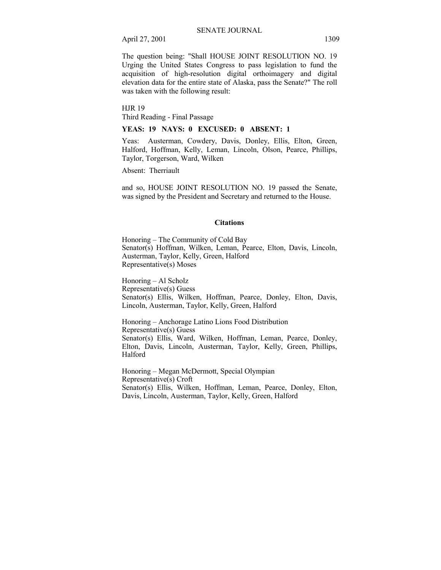The question being: "Shall HOUSE JOINT RESOLUTION NO. 19 Urging the United States Congress to pass legislation to fund the acquisition of high-resolution digital orthoimagery and digital elevation data for the entire state of Alaska, pass the Senate?" The roll was taken with the following result:

HJR 19 Third Reading - Final Passage

**YEAS: 19 NAYS: 0 EXCUSED: 0 ABSENT: 1** 

Yeas: Austerman, Cowdery, Davis, Donley, Ellis, Elton, Green, Halford, Hoffman, Kelly, Leman, Lincoln, Olson, Pearce, Phillips, Taylor, Torgerson, Ward, Wilken

Absent: Therriault

and so, HOUSE JOINT RESOLUTION NO. 19 passed the Senate, was signed by the President and Secretary and returned to the House.

#### **Citations**

Honoring – The Community of Cold Bay Senator(s) Hoffman, Wilken, Leman, Pearce, Elton, Davis, Lincoln, Austerman, Taylor, Kelly, Green, Halford Representative(s) Moses

 $Honoring - Al Scholz$ Representative(s) Guess Senator(s) Ellis, Wilken, Hoffman, Pearce, Donley, Elton, Davis, Lincoln, Austerman, Taylor, Kelly, Green, Halford

Honoring – Anchorage Latino Lions Food Distribution Representative(s) Guess Senator(s) Ellis, Ward, Wilken, Hoffman, Leman, Pearce, Donley, Elton, Davis, Lincoln, Austerman, Taylor, Kelly, Green, Phillips, Halford

Honoring – Megan McDermott, Special Olympian Representative(s) Croft Senator(s) Ellis, Wilken, Hoffman, Leman, Pearce, Donley, Elton, Davis, Lincoln, Austerman, Taylor, Kelly, Green, Halford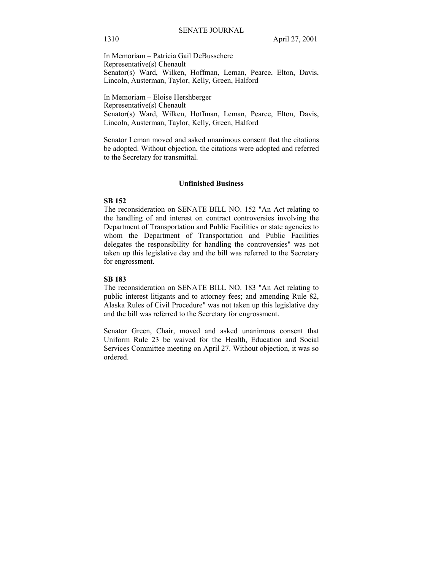In Memoriam – Patricia Gail DeBusschere Representative(s) Chenault Senator(s) Ward, Wilken, Hoffman, Leman, Pearce, Elton, Davis, Lincoln, Austerman, Taylor, Kelly, Green, Halford

In Memoriam – Eloise Hershberger Representative(s) Chenault Senator(s) Ward, Wilken, Hoffman, Leman, Pearce, Elton, Davis, Lincoln, Austerman, Taylor, Kelly, Green, Halford

Senator Leman moved and asked unanimous consent that the citations be adopted. Without objection, the citations were adopted and referred to the Secretary for transmittal.

#### **Unfinished Business**

### **SB 152**

The reconsideration on SENATE BILL NO. 152 "An Act relating to the handling of and interest on contract controversies involving the Department of Transportation and Public Facilities or state agencies to whom the Department of Transportation and Public Facilities delegates the responsibility for handling the controversies" was not taken up this legislative day and the bill was referred to the Secretary for engrossment.

#### **SB 183**

The reconsideration on SENATE BILL NO. 183 "An Act relating to public interest litigants and to attorney fees; and amending Rule 82, Alaska Rules of Civil Procedure" was not taken up this legislative day and the bill was referred to the Secretary for engrossment.

Senator Green, Chair, moved and asked unanimous consent that Uniform Rule 23 be waived for the Health, Education and Social Services Committee meeting on April 27. Without objection, it was so ordered.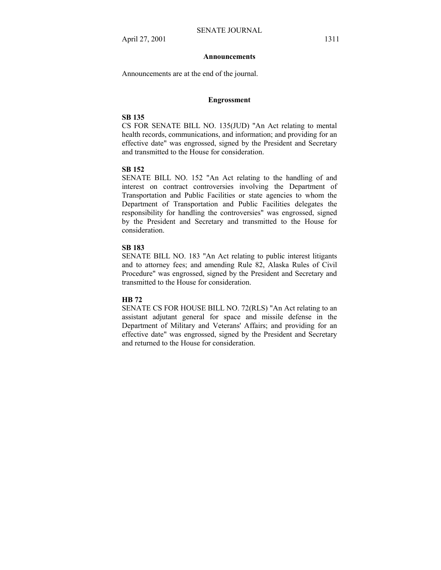#### **Announcements**

Announcements are at the end of the journal.

## **Engrossment**

# **SB 135**

CS FOR SENATE BILL NO. 135(JUD) "An Act relating to mental health records, communications, and information; and providing for an effective date" was engrossed, signed by the President and Secretary and transmitted to the House for consideration.

#### **SB 152**

SENATE BILL NO. 152 "An Act relating to the handling of and interest on contract controversies involving the Department of Transportation and Public Facilities or state agencies to whom the Department of Transportation and Public Facilities delegates the responsibility for handling the controversies" was engrossed, signed by the President and Secretary and transmitted to the House for consideration.

#### **SB 183**

SENATE BILL NO. 183 "An Act relating to public interest litigants and to attorney fees; and amending Rule 82, Alaska Rules of Civil Procedure" was engrossed, signed by the President and Secretary and transmitted to the House for consideration.

#### **HB 72**

SENATE CS FOR HOUSE BILL NO. 72(RLS) "An Act relating to an assistant adjutant general for space and missile defense in the Department of Military and Veterans' Affairs; and providing for an effective date" was engrossed, signed by the President and Secretary and returned to the House for consideration.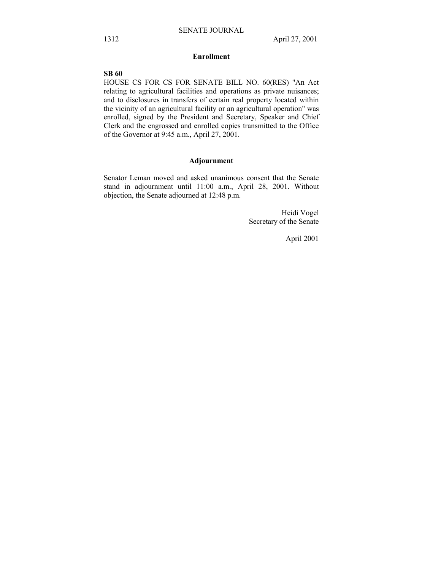# **Enrollment**

# **SB 60**

HOUSE CS FOR CS FOR SENATE BILL NO. 60(RES) "An Act relating to agricultural facilities and operations as private nuisances; and to disclosures in transfers of certain real property located within the vicinity of an agricultural facility or an agricultural operation" was enrolled, signed by the President and Secretary, Speaker and Chief Clerk and the engrossed and enrolled copies transmitted to the Office of the Governor at 9:45 a.m., April 27, 2001.

# **Adjournment**

Senator Leman moved and asked unanimous consent that the Senate stand in adjournment until 11:00 a.m., April 28, 2001. Without objection, the Senate adjourned at 12:48 p.m.

> Heidi Vogel Secretary of the Senate

> > April 2001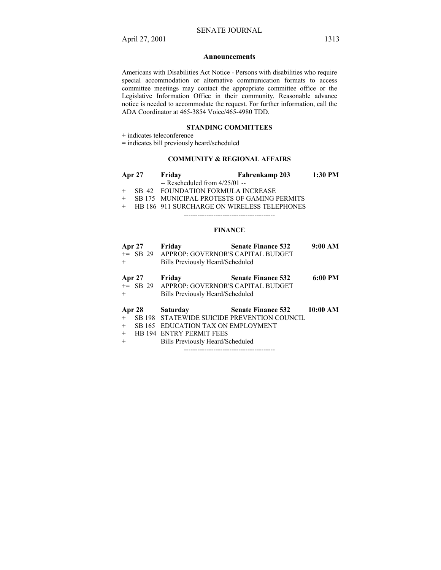#### **Announcements**

Americans with Disabilities Act Notice - Persons with disabilities who require special accommodation or alternative communication formats to access committee meetings may contact the appropriate committee office or the Legislative Information Office in their community. Reasonable advance notice is needed to accommodate the request. For further information, call the ADA Coordinator at 465-3854 Voice/465-4980 TDD.

#### **STANDING COMMITTEES**

+ indicates teleconference

= indicates bill previously heard/scheduled

# **COMMUNITY & REGIONAL AFFAIRS**

- **Apr 27 Friday Fahrenkamp 203 1:30 PM**  -- Rescheduled from 4/25/01 -- + SB 42 FOUNDATION FORMULA INCREASE
- + SB 175 MUNICIPAL PROTESTS OF GAMING PERMITS
- + HB 186 911 SURCHARGE ON WIRELESS TELEPHONES

----------------------------------------

#### **FINANCE**

| <b>Apr 27</b>        |        | Friday                                                                                   | <b>Senate Finance 532</b>                   | 9:00 AM  |
|----------------------|--------|------------------------------------------------------------------------------------------|---------------------------------------------|----------|
|                      |        | += SB 29 APPROP: GOVERNOR'S CAPITAL BUDGET                                               |                                             |          |
| $+$                  |        | Bills Previously Heard/Scheduled                                                         |                                             |          |
| <b>Apr 27</b><br>$+$ |        | Friday<br>+= SB 29 APPROP: GOVERNOR'S CAPITAL BUDGET<br>Bills Previously Heard/Scheduled | <b>Senate Finance 532</b>                   | 6:00 PM  |
|                      | Apr 28 | <b>Saturday</b>                                                                          | <b>Senate Finance 532</b>                   | 10:00 AM |
| $+$                  |        |                                                                                          | SB 198 STATEWIDE SUICIDE PREVENTION COUNCIL |          |
| $+$                  |        | SB 165 EDUCATION TAX ON EMPLOYMENT                                                       |                                             |          |
| $+$                  |        | <b>HB 194 ENTRY PERMIT FEES</b>                                                          |                                             |          |
| $+$                  |        | Bills Previously Heard/Scheduled                                                         |                                             |          |

----------------------------------------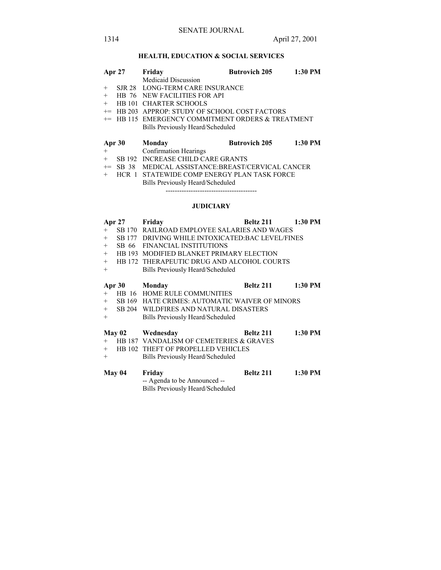# **HEALTH, EDUCATION & SOCIAL SERVICES**

|        | <b>Apr 27</b> | Friday                                             | <b>Butrovich 205</b> | 1:30 PM   |  |
|--------|---------------|----------------------------------------------------|----------------------|-----------|--|
|        |               | <b>Medicaid Discussion</b>                         |                      |           |  |
| $^{+}$ |               | SJR 28 LONG-TERM CARE INSURANCE                    |                      |           |  |
| $+$    |               | HB 76 NEW FACILITIES FOR API                       |                      |           |  |
| $^{+}$ |               | <b>HB 101 CHARTER SCHOOLS</b>                      |                      |           |  |
| $+=$   |               | <b>HB 203 APPROP: STUDY OF SCHOOL COST FACTORS</b> |                      |           |  |
|        |               | += HB 115 EMERGENCY COMMITMENT ORDERS & TREATMENT  |                      |           |  |
|        |               | Bills Previously Heard/Scheduled                   |                      |           |  |
|        | Apr 30        | Monday                                             | <b>Butrovich 205</b> | $1:30$ PM |  |
| $+$    |               | Confirmation Hearings                              |                      |           |  |
| $^{+}$ |               | SB 192 INCREASE CHILD CARE GRANTS                  |                      |           |  |
| $+=$   | SB 38         | MEDICAL ASSISTANCE:BREAST/CERVICAL CANCER          |                      |           |  |
| $+$    | $HCR$ 1       | STATEWIDE COMP ENERGY PLAN TASK FORCE              |                      |           |  |
|        |               | Bills Previously Heard/Scheduled                   |                      |           |  |

# **JUDICIARY**

----------------------------------------

| <b>Apr 27</b> |               | Friday                                                                     | Beltz 211        | 1:30 PM   |  |
|---------------|---------------|----------------------------------------------------------------------------|------------------|-----------|--|
| $+$           |               | SB 170 RAILROAD EMPLOYEE SALARIES AND WAGES                                |                  |           |  |
| $+$           | SB 177        | DRIVING WHILE INTOXICATED: BAC LEVEL/FINES                                 |                  |           |  |
| $+$           | SB 66         | <b>FINANCIAL INSTITUTIONS</b>                                              |                  |           |  |
| $+$           |               | HB 193 MODIFIED BLANKET PRIMARY ELECTION                                   |                  |           |  |
| $+$           |               | HB 172 THERAPEUTIC DRUG AND ALCOHOL COURTS                                 |                  |           |  |
| $+$           |               | <b>Bills Previously Heard/Scheduled</b>                                    |                  |           |  |
|               |               |                                                                            |                  |           |  |
| Apr 30        |               | Monday                                                                     | <b>Beltz 211</b> | $1:30$ PM |  |
| $+$           | HB 16         | HOME RULE COMMUNITIES                                                      |                  |           |  |
| $+$           |               | SB 169 HATE CRIMES: AUTOMATIC WAIVER OF MINORS                             |                  |           |  |
|               |               | + SB 204 WILDFIRES AND NATURAL DISASTERS                                   |                  |           |  |
| $+$           |               | Bills Previously Heard/Scheduled                                           |                  |           |  |
|               |               |                                                                            |                  |           |  |
|               | <b>May 02</b> | Wednesday                                                                  | Beltz 211        | $1:30$ PM |  |
| $+$           |               | HB 187 VANDALISM OF CEMETERIES & GRAVES                                    |                  |           |  |
| $+$           |               | HB 102 THEFT OF PROPELLED VEHICLES                                         |                  |           |  |
| $+$           |               | Bills Previously Heard/Scheduled                                           |                  |           |  |
|               |               |                                                                            |                  |           |  |
|               | May 04        | Friday<br>-- Agenda to be Announced --<br>Bills Previously Heard/Scheduled | Beltz 211        | $1:30$ PM |  |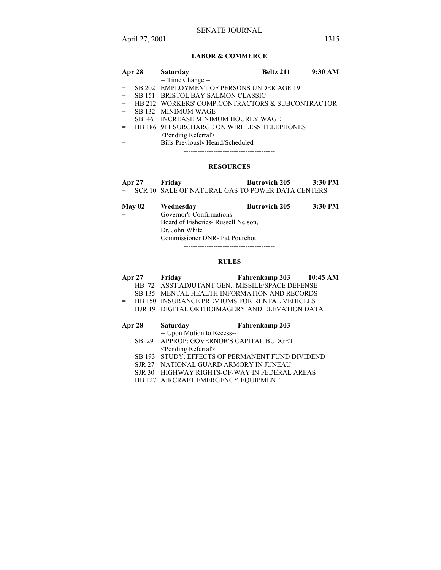# **LABOR & COMMERCE**

|     | Apr 28 Saturday                                  | <b>Beltz 211</b> 9:30 AM |  |
|-----|--------------------------------------------------|--------------------------|--|
|     | -- Time Change --                                |                          |  |
| $+$ | SB 202 EMPLOYMENT OF PERSONS UNDER AGE 19        |                          |  |
| $+$ | SB 151 BRISTOL BAY SALMON CLASSIC                |                          |  |
| $+$ | HB 212 WORKERS' COMP:CONTRACTORS & SUBCONTRACTOR |                          |  |
| $+$ | SB 132 MINIMUM WAGE                              |                          |  |
| $+$ | SB 46 INCREASE MINIMUM HOURLY WAGE               |                          |  |
| $=$ | HB 186 911 SURCHARGE ON WIRELESS TELEPHONES      |                          |  |
|     | <pending referral=""></pending>                  |                          |  |
|     |                                                  |                          |  |

+ Bills Previously Heard/Scheduled ----------------------------------------

#### **RESOURCES**

**Apr 27 Friday Butrovich 205 3:30 PM**  + SCR 10 SALE OF NATURAL GAS TO POWER DATA CENTERS

| May 02 | Wednesday                            | <b>Butrovich 205</b> | 3:30 PM |
|--------|--------------------------------------|----------------------|---------|
|        | Governor's Confirmations:            |                      |         |
|        | Board of Fisheries - Russell Nelson, |                      |         |
|        | Dr. John White                       |                      |         |
|        | Commissioner DNR - Pat Pourchot      |                      |         |

#### **RULES**

----------------------------------------

- **Apr 27 Friday Fahrenkamp 203 10:45 AM** 
	- HB 72 ASST.ADJUTANT GEN.: MISSILE/SPACE DEFENSE
	- SB 135 MENTAL HEALTH INFORMATION AND RECORDS
- = HB 150 INSURANCE PREMIUMS FOR RENTAL VEHICLES
	- HJR 19 DIGITAL ORTHOIMAGERY AND ELEVATION DATA

# **Apr 28 Saturday Fahrenkamp 203**

- -- Upon Motion to Recess--
- SB 29 APPROP: GOVERNOR'S CAPITAL BUDGET <Pending Referral>
- SB 193 STUDY: EFFECTS OF PERMANENT FUND DIVIDEND
- SJR 27 NATIONAL GUARD ARMORY IN JUNEAU
- SJR 30 HIGHWAY RIGHTS-OF-WAY IN FEDERAL AREAS
- HB 127 AIRCRAFT EMERGENCY EQUIPMENT